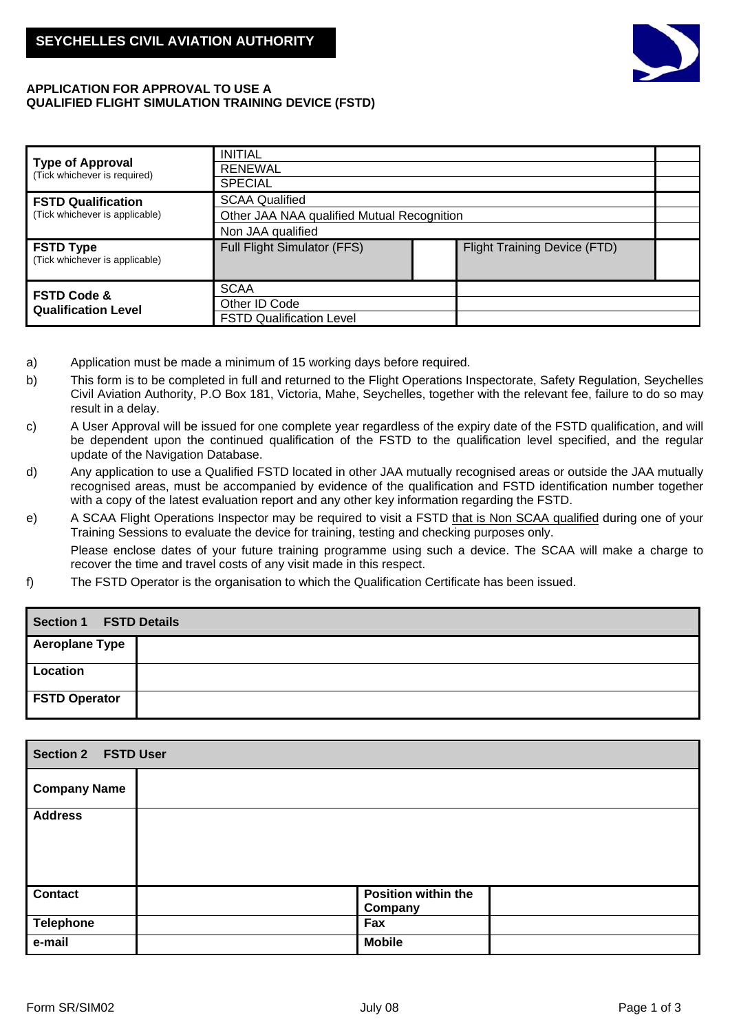

## **APPLICATION FOR APPROVAL TO USE A QUALIFIED FLIGHT SIMULATION TRAINING DEVICE (FSTD)**

|                                                      | <b>INITIAL</b>                             |  |                                     |  |
|------------------------------------------------------|--------------------------------------------|--|-------------------------------------|--|
| Type of Approval<br>(Tick whichever is required)     | <b>RENEWAL</b>                             |  |                                     |  |
|                                                      | <b>SPECIAL</b>                             |  |                                     |  |
| <b>FSTD Qualification</b>                            | <b>SCAA Qualified</b>                      |  |                                     |  |
| (Tick whichever is applicable)                       | Other JAA NAA qualified Mutual Recognition |  |                                     |  |
|                                                      | Non JAA qualified                          |  |                                     |  |
| <b>FSTD Type</b><br>(Tick whichever is applicable)   | <b>Full Flight Simulator (FFS)</b>         |  | <b>Flight Training Device (FTD)</b> |  |
| <b>FSTD Code &amp;</b><br><b>Qualification Level</b> | <b>SCAA</b><br>Other ID Code               |  |                                     |  |
|                                                      | <b>FSTD Qualification Level</b>            |  |                                     |  |

- a) Application must be made a minimum of 15 working days before required.
- b) This form is to be completed in full and returned to the Flight Operations Inspectorate, Safety Regulation, Seychelles Civil Aviation Authority, P.O Box 181, Victoria, Mahe, Seychelles, together with the relevant fee, failure to do so may result in a delay.
- c) A User Approval will be issued for one complete year regardless of the expiry date of the FSTD qualification, and will be dependent upon the continued qualification of the FSTD to the qualification level specified, and the regular update of the Navigation Database.
- d) Any application to use a Qualified FSTD located in other JAA mutually recognised areas or outside the JAA mutually recognised areas, must be accompanied by evidence of the qualification and FSTD identification number together with a copy of the latest evaluation report and any other key information regarding the FSTD.
- e) A SCAA Flight Operations Inspector may be required to visit a FSTD that is Non SCAA qualified during one of your Training Sessions to evaluate the device for training, testing and checking purposes only. Please enclose dates of your future training programme using such a device. The SCAA will make a charge to recover the time and travel costs of any visit made in this respect.
- f) The FSTD Operator is the organisation to which the Qualification Certificate has been issued.

| <b>Section 1</b><br><b>FSTD Details</b> |  |  |  |
|-----------------------------------------|--|--|--|
| <b>Aeroplane Type</b>                   |  |  |  |
| Location                                |  |  |  |
| <b>FSTD Operator</b>                    |  |  |  |

| <b>Section 2 FSTD User</b> |                                |  |  |
|----------------------------|--------------------------------|--|--|
| <b>Company Name</b>        |                                |  |  |
| <b>Address</b>             |                                |  |  |
|                            |                                |  |  |
|                            |                                |  |  |
| <b>Contact</b>             | Position within the<br>Company |  |  |
| <b>Telephone</b>           | Fax                            |  |  |
| e-mail                     | <b>Mobile</b>                  |  |  |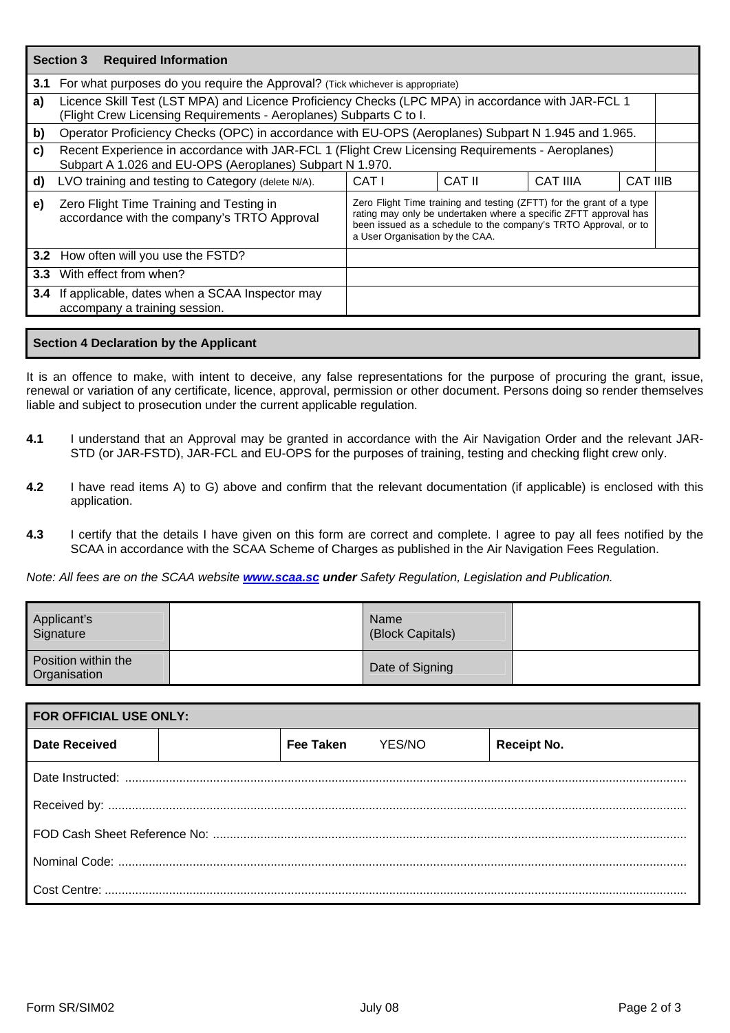|              | <b>Required Information</b><br><b>Section 3</b>                                                                                                                          |                                                                                                                                                                                                                                                |        |                 |                 |
|--------------|--------------------------------------------------------------------------------------------------------------------------------------------------------------------------|------------------------------------------------------------------------------------------------------------------------------------------------------------------------------------------------------------------------------------------------|--------|-----------------|-----------------|
|              | 3.1 For what purposes do you require the Approval? (Tick whichever is appropriate)                                                                                       |                                                                                                                                                                                                                                                |        |                 |                 |
| a)           | Licence Skill Test (LST MPA) and Licence Proficiency Checks (LPC MPA) in accordance with JAR-FCL 1<br>(Flight Crew Licensing Requirements - Aeroplanes) Subparts C to I. |                                                                                                                                                                                                                                                |        |                 |                 |
| b)           | Operator Proficiency Checks (OPC) in accordance with EU-OPS (Aeroplanes) Subpart N 1.945 and 1.965.                                                                      |                                                                                                                                                                                                                                                |        |                 |                 |
| $\mathbf{c}$ | Recent Experience in accordance with JAR-FCL 1 (Flight Crew Licensing Requirements - Aeroplanes)<br>Subpart A 1.026 and EU-OPS (Aeroplanes) Subpart N 1.970.             |                                                                                                                                                                                                                                                |        |                 |                 |
| d)           | LVO training and testing to Category (delete N/A).                                                                                                                       | CAT I                                                                                                                                                                                                                                          | CAT II | <b>CAT IIIA</b> | <b>CAT IIIB</b> |
| e)           | Zero Flight Time Training and Testing in<br>accordance with the company's TRTO Approval                                                                                  | Zero Flight Time training and testing (ZFTT) for the grant of a type<br>rating may only be undertaken where a specific ZFTT approval has<br>been issued as a schedule to the company's TRTO Approval, or to<br>a User Organisation by the CAA. |        |                 |                 |
|              | 3.2 How often will you use the FSTD?                                                                                                                                     |                                                                                                                                                                                                                                                |        |                 |                 |
| 3.3          | With effect from when?                                                                                                                                                   |                                                                                                                                                                                                                                                |        |                 |                 |
|              | 3.4 If applicable, dates when a SCAA Inspector may<br>accompany a training session.                                                                                      |                                                                                                                                                                                                                                                |        |                 |                 |

## **Section 4 Declaration by the Applicant**

It is an offence to make, with intent to deceive, any false representations for the purpose of procuring the grant, issue, renewal or variation of any certificate, licence, approval, permission or other document. Persons doing so render themselves liable and subject to prosecution under the current applicable regulation.

- **4.1** I understand that an Approval may be granted in accordance with the Air Navigation Order and the relevant JAR-STD (or JAR-FSTD), JAR-FCL and EU-OPS for the purposes of training, testing and checking flight crew only.
- **4.2** I have read items A) to G) above and confirm that the relevant documentation (if applicable) is enclosed with this application.
- **4.3** I certify that the details I have given on this form are correct and complete. I agree to pay all fees notified by the SCAA in accordance with the SCAA Scheme of Charges as published in the Air Navigation Fees Regulation.

*Note: All fees are on the SCAA website <www.scaa.sc> under Safety Regulation, Legislation and Publication.*

| Applicant's<br>Signature            | Name<br>(Block Capitals) |  |
|-------------------------------------|--------------------------|--|
| Position within the<br>Organisation | Date of Signing          |  |

| <b>FOR OFFICIAL USE ONLY:</b> |  |           |        |                    |
|-------------------------------|--|-----------|--------|--------------------|
| Date Received                 |  | Fee Taken | YES/NO | <b>Receipt No.</b> |
|                               |  |           |        |                    |
|                               |  |           |        |                    |
|                               |  |           |        |                    |
|                               |  |           |        |                    |
|                               |  |           |        |                    |